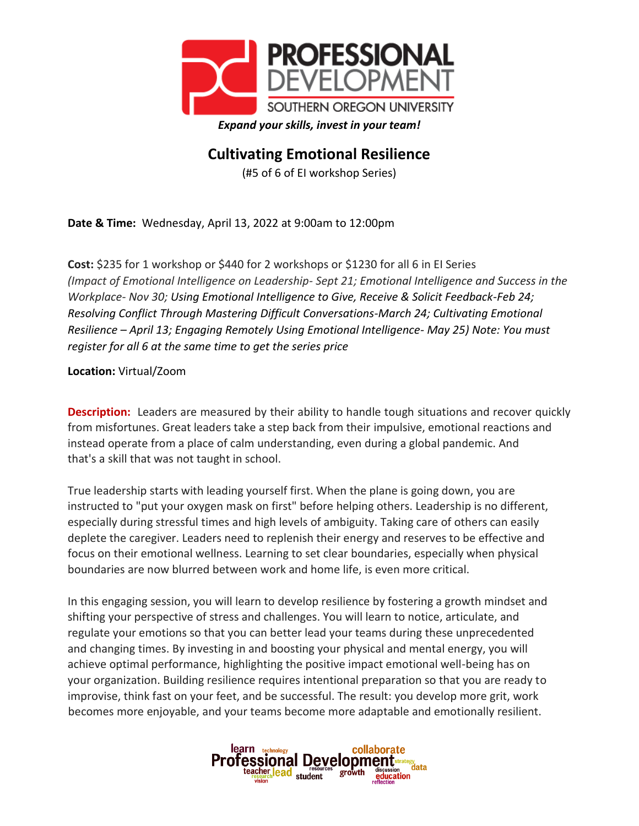

## **Cultivating Emotional Resilience**

(#5 of 6 of EI workshop Series)

**Date & Time:** Wednesday, April 13, 2022 at 9:00am to 12:00pm

**Cost:** \$235 for 1 workshop or \$440 for 2 workshops or \$1230 for all 6 in EI Series *(Impact of Emotional Intelligence on Leadership- Sept 21; Emotional Intelligence and Success in the Workplace- Nov 30; Using Emotional Intelligence to Give, Receive & Solicit Feedback-Feb 24; Resolving Conflict Through Mastering Difficult Conversations-March 24; Cultivating Emotional Resilience – April 13; Engaging Remotely Using Emotional Intelligence- May 25) Note: You must register for all 6 at the same time to get the series price*

**Location:** Virtual/Zoom

**Description:** Leaders are measured by their ability to handle tough situations and recover quickly from misfortunes. Great leaders take a step back from their impulsive, emotional reactions and instead operate from a place of calm understanding, even during a global pandemic. And that's a skill that was not taught in school.

True leadership starts with leading yourself first. When the plane is going down, you are instructed to "put your oxygen mask on first" before helping others. Leadership is no different, especially during stressful times and high levels of ambiguity. Taking care of others can easily deplete the caregiver. Leaders need to replenish their energy and reserves to be effective and focus on their emotional wellness. Learning to set clear boundaries, especially when physical boundaries are now blurred between work and home life, is even more critical.

In this engaging session, you will learn to develop resilience by fostering a growth mindset and shifting your perspective of stress and challenges. You will learn to notice, articulate, and regulate your emotions so that you can better lead your teams during these unprecedented and changing times. By investing in and boosting your physical and mental energy, you will achieve optimal performance, highlighting the positive impact emotional well-being has on your organization. Building resilience requires intentional preparation so that you are ready to improvise, think fast on your feet, and be successful. The result: you develop more grit, work becomes more enjoyable, and your teams become more adaptable and emotionally resilient.